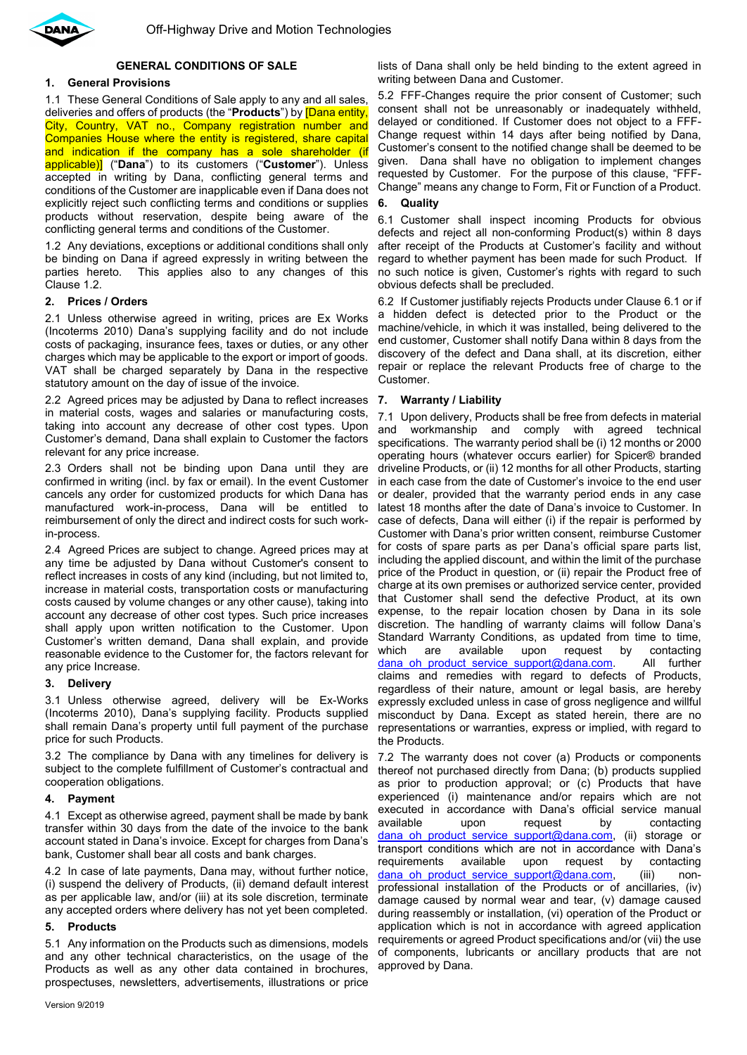

# **GENERAL CONDITIONS OF SALE**

# **1. General Provisions**

1.1 These General Conditions of Sale apply to any and all sales, deliveries and offers of products (the "**Products**") by [Dana entity, City, Country, VAT no., Company registration number and Companies House where the entity is registered, share capital and indication if the company has a sole shareholder (if applicable)] ("**Dana**") to its customers ("**Customer**"). Unless accepted in writing by Dana, conflicting general terms and conditions of the Customer are inapplicable even if Dana does not explicitly reject such conflicting terms and conditions or supplies products without reservation, despite being aware of the conflicting general terms and conditions of the Customer.

1.2 Any deviations, exceptions or additional conditions shall only be binding on Dana if agreed expressly in writing between the parties hereto. This applies also to any changes of this Clause 1.2.

## **2. Prices / Orders**

2.1 Unless otherwise agreed in writing, prices are Ex Works (Incoterms 2010) Dana's supplying facility and do not include costs of packaging, insurance fees, taxes or duties, or any other charges which may be applicable to the export or import of goods. VAT shall be charged separately by Dana in the respective statutory amount on the day of issue of the invoice.

2.2 Agreed prices may be adjusted by Dana to reflect increases in material costs, wages and salaries or manufacturing costs, taking into account any decrease of other cost types. Upon Customer's demand, Dana shall explain to Customer the factors relevant for any price increase.

2.3 Orders shall not be binding upon Dana until they are confirmed in writing (incl. by fax or email). In the event Customer cancels any order for customized products for which Dana has manufactured work-in-process, Dana will be entitled to reimbursement of only the direct and indirect costs for such workin-process.

2.4 Agreed Prices are subject to change. Agreed prices may at any time be adjusted by Dana without Customer's consent to reflect increases in costs of any kind (including, but not limited to, increase in material costs, transportation costs or manufacturing costs caused by volume changes or any other cause), taking into account any decrease of other cost types. Such price increases shall apply upon written notification to the Customer. Upon Customer's written demand, Dana shall explain, and provide reasonable evidence to the Customer for, the factors relevant for any price Increase.

### **3. Delivery**

3.1 Unless otherwise agreed, delivery will be Ex-Works (Incoterms 2010), Dana's supplying facility. Products supplied shall remain Dana's property until full payment of the purchase price for such Products.

3.2 The compliance by Dana with any timelines for delivery is subject to the complete fulfillment of Customer's contractual and cooperation obligations.

### **4. Payment**

4.1 Except as otherwise agreed, payment shall be made by bank transfer within 30 days from the date of the invoice to the bank account stated in Dana's invoice. Except for charges from Dana's bank, Customer shall bear all costs and bank charges.

4.2 In case of late payments, Dana may, without further notice, (i) suspend the delivery of Products, (ii) demand default interest as per applicable law, and/or (iii) at its sole discretion, terminate any accepted orders where delivery has not yet been completed.

# **5. Products**

5.1 Any information on the Products such as dimensions, models and any other technical characteristics, on the usage of the Products as well as any other data contained in brochures, prospectuses, newsletters, advertisements, illustrations or price

lists of Dana shall only be held binding to the extent agreed in writing between Dana and Customer.

5.2 FFF-Changes require the prior consent of Customer; such consent shall not be unreasonably or inadequately withheld, delayed or conditioned. If Customer does not object to a FFF-Change request within 14 days after being notified by Dana, Customer's consent to the notified change shall be deemed to be given. Dana shall have no obligation to implement changes requested by Customer. For the purpose of this clause, "FFF-Change" means any change to Form, Fit or Function of a Product.

## **6. Quality**

<span id="page-0-0"></span>6.1 Customer shall inspect incoming Products for obvious defects and reject all non-conforming Product(s) within 8 days after receipt of the Products at Customer's facility and without regard to whether payment has been made for such Product. If no such notice is given, Customer's rights with regard to such obvious defects shall be precluded.

6.2 If Customer justifiably rejects Products under Clause [6.1](#page-0-0) or if a hidden defect is detected prior to the Product or the machine/vehicle, in which it was installed, being delivered to the end customer, Customer shall notify Dana within 8 days from the discovery of the defect and Dana shall, at its discretion, either repair or replace the relevant Products free of charge to the Customer.

## **7. Warranty / Liability**

7.1 Upon delivery, Products shall be free from defects in material and workmanship and comply with agreed technical specifications. The warranty period shall be (i) 12 months or 2000 operating hours (whatever occurs earlier) for Spicer® branded driveline Products, or (ii) 12 months for all other Products, starting in each case from the date of Customer's invoice to the end user or dealer, provided that the warranty period ends in any case latest 18 months after the date of Dana's invoice to Customer. In case of defects, Dana will either (i) if the repair is performed by Customer with Dana's prior written consent, reimburse Customer for costs of spare parts as per Dana's official spare parts list, including the applied discount, and within the limit of the purchase price of the Product in question, or (ii) repair the Product free of charge at its own premises or authorized service center, provided that Customer shall send the defective Product, at its own expense, to the repair location chosen by Dana in its sole discretion. The handling of warranty claims will follow Dana's Standard Warranty Conditions, as updated from time to time, which are available upon request by contacting [dana\\_oh\\_product\\_service\\_support@dana.com.](mailto:dana_oh_product_service_support@dana.com) All further claims and remedies with regard to defects of Products, regardless of their nature, amount or legal basis, are hereby expressly excluded unless in case of gross negligence and willful misconduct by Dana. Except as stated herein, there are no representations or warranties, express or implied, with regard to the Products.

7.2 The warranty does not cover (a) Products or components thereof not purchased directly from Dana; (b) products supplied as prior to production approval; or (c) Products that have experienced (i) maintenance and/or repairs which are not executed in accordance with Dana's official service manual available upon request by contacting dana oh product service support@dana.com, (ii) storage or transport conditions which are not in accordance with Dana's requirements available upon request by contacting dana oh product service support@dana.com, (iii) nonprofessional installation of the Products or of ancillaries, (iv) damage caused by normal wear and tear, (v) damage caused during reassembly or installation, (vi) operation of the Product or application which is not in accordance with agreed application requirements or agreed Product specifications and/or (vii) the use of components, lubricants or ancillary products that are not approved by Dana.